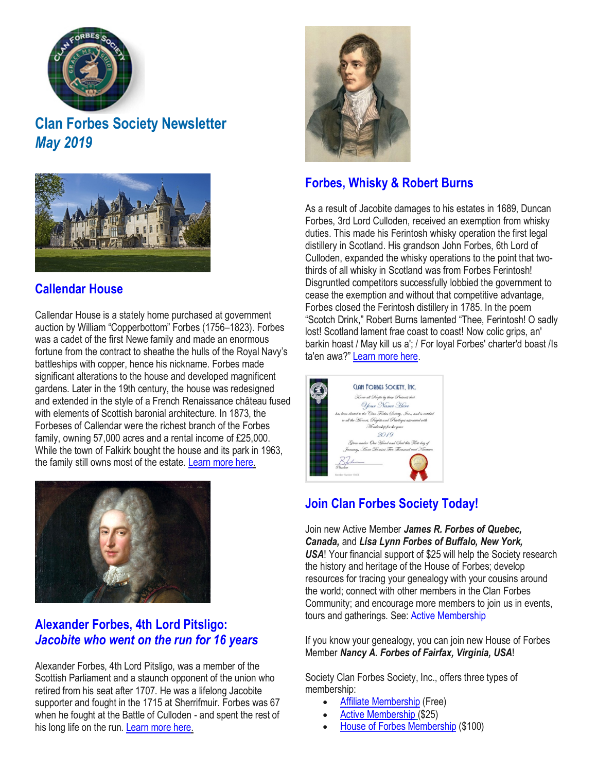

# **Clan Forbes Society Newsletter** *May 2019*



# **[Callendar](https://www.clan-forbes.org/callendar) House**

Callendar House is a stately home purchased at government auction by William "Copperbottom" Forbes (1756–1823). Forbes was a cadet of the first Newe family and made an enormous fortune from the contract to sheathe the hulls of the Royal Navy's battleships with copper, hence his nickname. Forbes made significant alterations to the house and developed magnificent gardens. Later in the 19th century, the house was redesigned and extended in the style of a French Renaissance château fused with elements of Scottish baronial architecture. In 1873, the Forbeses of Callendar were the richest branch of the Forbes family, owning 57,000 acres and a rental income of £25,000. While the town of Falkirk bought the house and its park in 1963, the family still owns most of the estate. [Learn](https://www.clan-forbes.org/callendar) more here.



#### **[Alexander](https://www.clan-forbes.org/alexander-forbes-pitsligo) Forbes, 4th Lord Pitsligo:**  *[Jacobite](https://www.clan-forbes.org/alexander-forbes-pitsligo) who went on the run for 16 years*

Alexander Forbes, 4th Lord Pitsligo, was a member of the Scottish Parliament and a staunch opponent of the union who retired from his seat after 1707. He was a lifelong Jacobite supporter and fought in the 1715 at Sherrifmuir. Forbes was 67 when he fought at the Battle of Culloden - and spent the rest of his long life on the run. [Learn](https://www.clan-forbes.org/alexander-forbes-pitsligo) more here.



# **Forbes, [Whisky & Robert](https://www.clan-forbes.org/whisky) Burns**

As a result of Jacobite damages to his estates in 1689, Duncan Forbes, 3rd Lord Culloden, received an exemption from whisky duties. This made his Ferintosh whisky operation the first legal distillery in Scotland. His grandson John Forbes, 6th Lord of Culloden, expanded the whisky operations to the point that twothirds of all whisky in Scotland was from Forbes Ferintosh! Disgruntled competitors successfully lobbied the government to cease the exemption and without that competitive advantage, Forbes closed the Ferintosh distillery in 1785. In the poem "Scotch Drink," Robert Burns lamented "Thee, Ferintosh! O sadly lost! Scotland lament frae coast to coast! Now colic grips, an' barkin hoast / May kill us a'; / For loyal Forbes' charter'd boast /Is ta'en awa?" [Learn](https://www.clan-forbes.org/whisky) more here.



# **Join Clan Forbes [Society](https://www.clan-forbes.org/join) Today!**

Join new Active Member *James R. Forbes of Quebec, Canada,* and *Lisa Lynn Forbes of Buffalo, New York, USA*! Your financial support of \$25 will help the Society research the history and heritage of the House of Forbes; develop resources for tracing your genealogy with your cousins around the world; connect with other members in the Clan Forbes Community; and encourage more members to join us in events, tours and gatherings. See: Active [Membership](https://www.clan-forbes.org/active-membership) 

If you know your genealogy, you can join new House of Forbes Member *Nancy A. Forbes of Fairfax, Virginia, USA*!

Society Clan Forbes Society, Inc., offers three types of membership:

- Affiliate [Membership](https://www.clan-forbes.org/affiliate) (Free)
- Active [Membership](https://www.clan-forbes.org/active-membership) (\$25)
- House of Forbes [Membership](https://www.clan-forbes.org/house-of-forbes-member) (\$100)